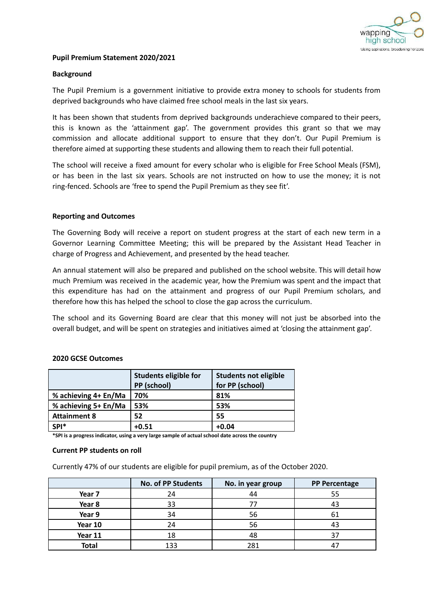

## **Pupil Premium Statement 2020/2021**

# **Background**

The Pupil Premium is a government initiative to provide extra money to schools for students from deprived backgrounds who have claimed free school meals in the last six years.

It has been shown that students from deprived backgrounds underachieve compared to their peers, this is known as the 'attainment gap'. The government provides this grant so that we may commission and allocate additional support to ensure that they don't. Our Pupil Premium is therefore aimed at supporting these students and allowing them to reach their full potential.

The school will receive a fixed amount for every scholar who is eligible for Free School Meals (FSM), or has been in the last six years. Schools are not instructed on how to use the money; it is not ring-fenced. Schools are 'free to spend the Pupil Premium as they see fit'.

### **Reporting and Outcomes**

The Governing Body will receive a report on student progress at the start of each new term in a Governor Learning Committee Meeting; this will be prepared by the Assistant Head Teacher in charge of Progress and Achievement, and presented by the head teacher.

An annual statement will also be prepared and published on the school website. This will detail how much Premium was received in the academic year, how the Premium was spent and the impact that this expenditure has had on the attainment and progress of our Pupil Premium scholars, and therefore how this has helped the school to close the gap across the curriculum.

The school and its Governing Board are clear that this money will not just be absorbed into the overall budget, and will be spent on strategies and initiatives aimed at 'closing the attainment gap'.

|                             | <b>Students eligible for</b> | Students not eligible |
|-----------------------------|------------------------------|-----------------------|
|                             | PP (school)                  | for PP (school)       |
| % achieving $4+En/Ma$   70% |                              | 81%                   |

**% achieving 5+ En/Ma 53% 53% Attainment 8 52 55 SPI\* +0.51 +0.04**

# **2020 GCSE Outcomes**

**\*SPI is a progress indicator, using a very large sample of actual school date across the country**

#### **Current PP students on roll**

Currently 47% of our students are eligible for pupil premium, as of the October 2020.

|              | <b>No. of PP Students</b> | No. in year group | <b>PP Percentage</b> |
|--------------|---------------------------|-------------------|----------------------|
| Year 7       | 24                        | 44                | 55                   |
| Year 8       | 33                        |                   |                      |
| Year 9       | 34                        | 56                |                      |
| Year 10      | 24                        | 56                |                      |
| Year 11      | 18                        | 48                |                      |
| <b>Total</b> | 133                       | 281               |                      |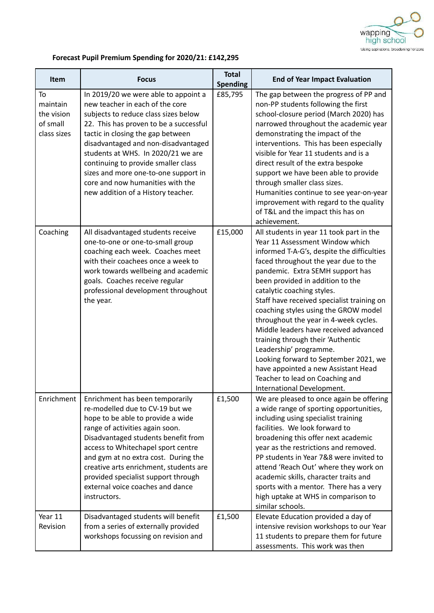

# **Forecast Pupil Premium Spending for 2020/21: £142,295**

| Item                                                    | <b>Focus</b>                                                                                                                                                                                                                                                                                                                                                                                                                         | <b>Total</b><br><b>Spending</b> | <b>End of Year Impact Evaluation</b>                                                                                                                                                                                                                                                                                                                                                                                                                                                                                                                                                                                                                            |
|---------------------------------------------------------|--------------------------------------------------------------------------------------------------------------------------------------------------------------------------------------------------------------------------------------------------------------------------------------------------------------------------------------------------------------------------------------------------------------------------------------|---------------------------------|-----------------------------------------------------------------------------------------------------------------------------------------------------------------------------------------------------------------------------------------------------------------------------------------------------------------------------------------------------------------------------------------------------------------------------------------------------------------------------------------------------------------------------------------------------------------------------------------------------------------------------------------------------------------|
| To<br>maintain<br>the vision<br>of small<br>class sizes | In 2019/20 we were able to appoint a<br>new teacher in each of the core<br>subjects to reduce class sizes below<br>22. This has proven to be a successful<br>tactic in closing the gap between<br>disadvantaged and non-disadvantaged<br>students at WHS. In 2020/21 we are<br>continuing to provide smaller class<br>sizes and more one-to-one support in<br>core and now humanities with the<br>new addition of a History teacher. | £85,795                         | The gap between the progress of PP and<br>non-PP students following the first<br>school-closure period (March 2020) has<br>narrowed throughout the academic year<br>demonstrating the impact of the<br>interventions. This has been especially<br>visible for Year 11 students and is a<br>direct result of the extra bespoke<br>support we have been able to provide<br>through smaller class sizes.<br>Humanities continue to see year-on-year<br>improvement with regard to the quality<br>of T&L and the impact this has on<br>achievement.                                                                                                                 |
| Coaching                                                | All disadvantaged students receive<br>one-to-one or one-to-small group<br>coaching each week. Coaches meet<br>with their coachees once a week to<br>work towards wellbeing and academic<br>goals. Coaches receive regular<br>professional development throughout<br>the year.                                                                                                                                                        | £15,000                         | All students in year 11 took part in the<br>Year 11 Assessment Window which<br>informed T-A-G's, despite the difficulties<br>faced throughout the year due to the<br>pandemic. Extra SEMH support has<br>been provided in addition to the<br>catalytic coaching styles.<br>Staff have received specialist training on<br>coaching styles using the GROW model<br>throughout the year in 4-week cycles.<br>Middle leaders have received advanced<br>training through their 'Authentic<br>Leadership' programme.<br>Looking forward to September 2021, we<br>have appointed a new Assistant Head<br>Teacher to lead on Coaching and<br>International Development. |
| Enrichment                                              | Enrichment has been temporarily<br>re-modelled due to CV-19 but we<br>hope to be able to provide a wide<br>range of activities again soon.<br>Disadvantaged students benefit from<br>access to Whitechapel sport centre<br>and gym at no extra cost. During the<br>creative arts enrichment, students are<br>provided specialist support through<br>external voice coaches and dance<br>instructors.                                 | £1,500                          | We are pleased to once again be offering<br>a wide range of sporting opportunities,<br>including using specialist training<br>facilities. We look forward to<br>broadening this offer next academic<br>year as the restrictions and removed.<br>PP students in Year 7&8 were invited to<br>attend 'Reach Out' where they work on<br>academic skills, character traits and<br>sports with a mentor. There has a very<br>high uptake at WHS in comparison to<br>similar schools.                                                                                                                                                                                  |
| Year 11<br>Revision                                     | Disadvantaged students will benefit<br>from a series of externally provided<br>workshops focussing on revision and                                                                                                                                                                                                                                                                                                                   | £1,500                          | Elevate Education provided a day of<br>intensive revision workshops to our Year<br>11 students to prepare them for future<br>assessments. This work was then                                                                                                                                                                                                                                                                                                                                                                                                                                                                                                    |